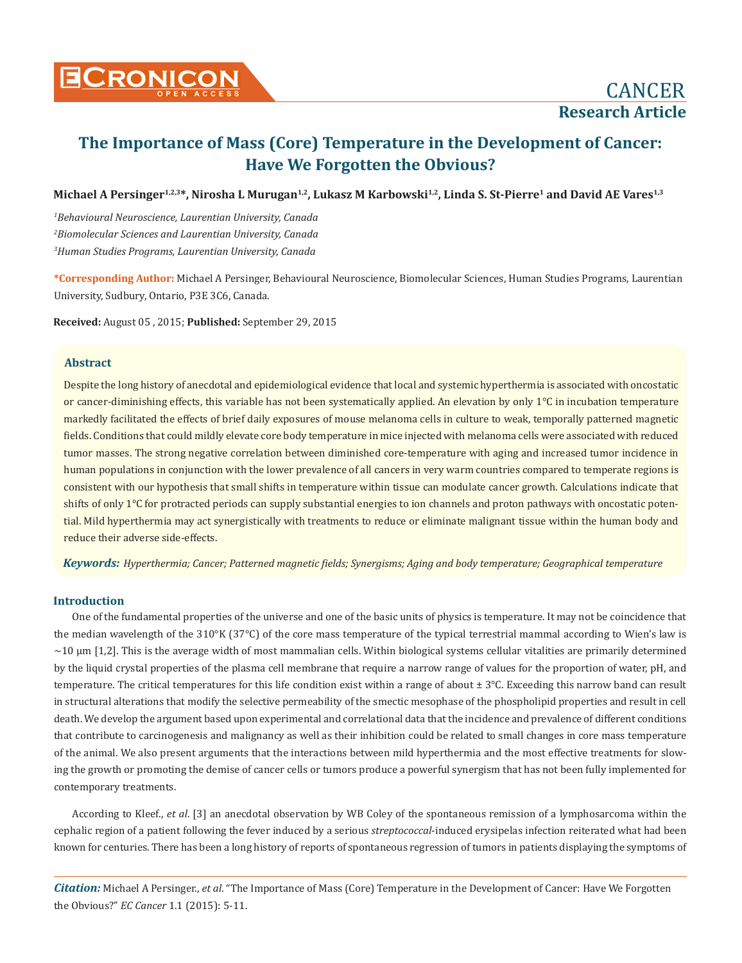

Michael A Persinger<sup>1,2,3\*</sup>, Nirosha L Murugan<sup>1,2</sup>, Lukasz M Karbowski<sup>1,2</sup>, Linda S. St-Pierre<sup>1</sup> and David AE Vares<sup>1,3</sup>

*1 Behavioural Neuroscience, Laurentian University, Canada 2 Biomolecular Sciences and Laurentian University, Canada 3 Human Studies Programs, Laurentian University, Canada*

**\*Corresponding Author:** Michael A Persinger, Behavioural Neuroscience, Biomolecular Sciences, Human Studies Programs, Laurentian University, Sudbury, Ontario, P3E 3C6, Canada.

**Received:** August 05 , 2015; **Published:** September 29, 2015

## **Abstract**

Despite the long history of anecdotal and epidemiological evidence that local and systemic hyperthermia is associated with oncostatic or cancer-diminishing effects, this variable has not been systematically applied. An elevation by only 1°C in incubation temperature markedly facilitated the effects of brief daily exposures of mouse melanoma cells in culture to weak, temporally patterned magnetic fields. Conditions that could mildly elevate core body temperature in mice injected with melanoma cells were associated with reduced tumor masses. The strong negative correlation between diminished core-temperature with aging and increased tumor incidence in human populations in conjunction with the lower prevalence of all cancers in very warm countries compared to temperate regions is consistent with our hypothesis that small shifts in temperature within tissue can modulate cancer growth. Calculations indicate that shifts of only 1°C for protracted periods can supply substantial energies to ion channels and proton pathways with oncostatic potential. Mild hyperthermia may act synergistically with treatments to reduce or eliminate malignant tissue within the human body and reduce their adverse side-effects.

*Keywords: Hyperthermia; Cancer; Patterned magnetic fields; Synergisms; Aging and body temperature; Geographical temperature*

## **Introduction**

One of the fundamental properties of the universe and one of the basic units of physics is temperature. It may not be coincidence that the median wavelength of the 310°K (37°C) of the core mass temperature of the typical terrestrial mammal according to Wien's law is  $\sim$ 10  $\mu$ m [1,2]. This is the average width of most mammalian cells. Within biological systems cellular vitalities are primarily determined by the liquid crystal properties of the plasma cell membrane that require a narrow range of values for the proportion of water, pH, and temperature. The critical temperatures for this life condition exist within a range of about  $\pm 3^{\circ}$ C. Exceeding this narrow band can result in structural alterations that modify the selective permeability of the smectic mesophase of the phospholipid properties and result in cell death. We develop the argument based upon experimental and correlational data that the incidence and prevalence of different conditions that contribute to carcinogenesis and malignancy as well as their inhibition could be related to small changes in core mass temperature of the animal. We also present arguments that the interactions between mild hyperthermia and the most effective treatments for slowing the growth or promoting the demise of cancer cells or tumors produce a powerful synergism that has not been fully implemented for contemporary treatments.

According to Kleef., *et al*. [3] an anecdotal observation by WB Coley of the spontaneous remission of a lymphosarcoma within the cephalic region of a patient following the fever induced by a serious *streptococcal*-induced erysipelas infection reiterated what had been known for centuries. There has been a long history of reports of spontaneous regression of tumors in patients displaying the symptoms of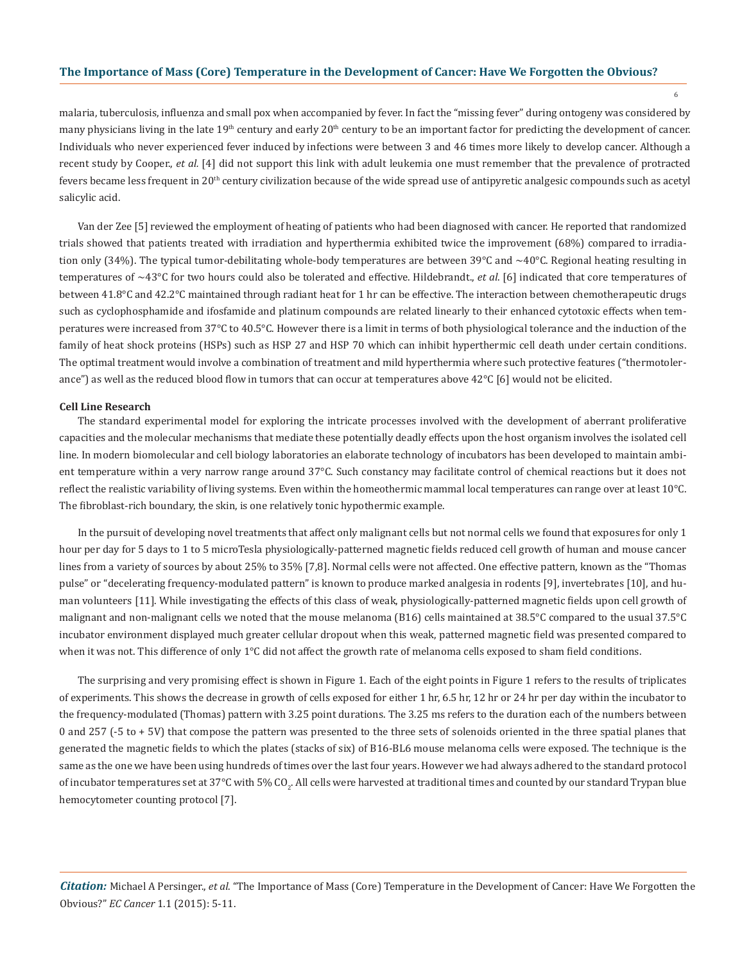6

malaria, tuberculosis, influenza and small pox when accompanied by fever. In fact the "missing fever" during ontogeny was considered by many physicians living in the late  $19<sup>th</sup>$  century and early  $20<sup>th</sup>$  century to be an important factor for predicting the development of cancer. Individuals who never experienced fever induced by infections were between 3 and 46 times more likely to develop cancer. Although a recent study by Cooper., *et al.* [4] did not support this link with adult leukemia one must remember that the prevalence of protracted fevers became less frequent in  $20<sup>th</sup>$  century civilization because of the wide spread use of antipyretic analgesic compounds such as acetyl salicylic acid.

Van der Zee [5] reviewed the employment of heating of patients who had been diagnosed with cancer. He reported that randomized trials showed that patients treated with irradiation and hyperthermia exhibited twice the improvement (68%) compared to irradiation only (34%). The typical tumor-debilitating whole-body temperatures are between 39 $\degree$ C and  $\sim$ 40 $\degree$ C. Regional heating resulting in temperatures of ~43°C for two hours could also be tolerated and effective. Hildebrandt., *et al*. [6] indicated that core temperatures of between 41.8°C and 42.2°C maintained through radiant heat for 1 hr can be effective. The interaction between chemotherapeutic drugs such as cyclophosphamide and ifosfamide and platinum compounds are related linearly to their enhanced cytotoxic effects when temperatures were increased from 37°C to 40.5°C. However there is a limit in terms of both physiological tolerance and the induction of the family of heat shock proteins (HSPs) such as HSP 27 and HSP 70 which can inhibit hyperthermic cell death under certain conditions. The optimal treatment would involve a combination of treatment and mild hyperthermia where such protective features ("thermotolerance") as well as the reduced blood flow in tumors that can occur at temperatures above  $42^{\circ}C$  [6] would not be elicited.

#### **Cell Line Research**

The standard experimental model for exploring the intricate processes involved with the development of aberrant proliferative capacities and the molecular mechanisms that mediate these potentially deadly effects upon the host organism involves the isolated cell line. In modern biomolecular and cell biology laboratories an elaborate technology of incubators has been developed to maintain ambient temperature within a very narrow range around 37°C. Such constancy may facilitate control of chemical reactions but it does not reflect the realistic variability of living systems. Even within the homeothermic mammal local temperatures can range over at least 10°C. The fibroblast-rich boundary, the skin, is one relatively tonic hypothermic example.

In the pursuit of developing novel treatments that affect only malignant cells but not normal cells we found that exposures for only 1 hour per day for 5 days to 1 to 5 microTesla physiologically-patterned magnetic fields reduced cell growth of human and mouse cancer lines from a variety of sources by about 25% to 35% [7,8]. Normal cells were not affected. One effective pattern, known as the "Thomas pulse" or "decelerating frequency-modulated pattern" is known to produce marked analgesia in rodents [9], invertebrates [10], and human volunteers [11]. While investigating the effects of this class of weak, physiologically-patterned magnetic fields upon cell growth of malignant and non-malignant cells we noted that the mouse melanoma (B16) cells maintained at 38.5°C compared to the usual 37.5°C incubator environment displayed much greater cellular dropout when this weak, patterned magnetic field was presented compared to when it was not. This difference of only 1°C did not affect the growth rate of melanoma cells exposed to sham field conditions.

The surprising and very promising effect is shown in Figure 1. Each of the eight points in Figure 1 refers to the results of triplicates of experiments. This shows the decrease in growth of cells exposed for either 1 hr, 6.5 hr, 12 hr or 24 hr per day within the incubator to the frequency-modulated (Thomas) pattern with 3.25 point durations. The 3.25 ms refers to the duration each of the numbers between 0 and 257 (-5 to + 5V) that compose the pattern was presented to the three sets of solenoids oriented in the three spatial planes that generated the magnetic fields to which the plates (stacks of six) of B16-BL6 mouse melanoma cells were exposed. The technique is the same as the one we have been using hundreds of times over the last four years. However we had always adhered to the standard protocol of incubator temperatures set at 37°C with 5% CO<sub>2</sub>. All cells were harvested at traditional times and counted by our standard Trypan blue hemocytometer counting protocol [7].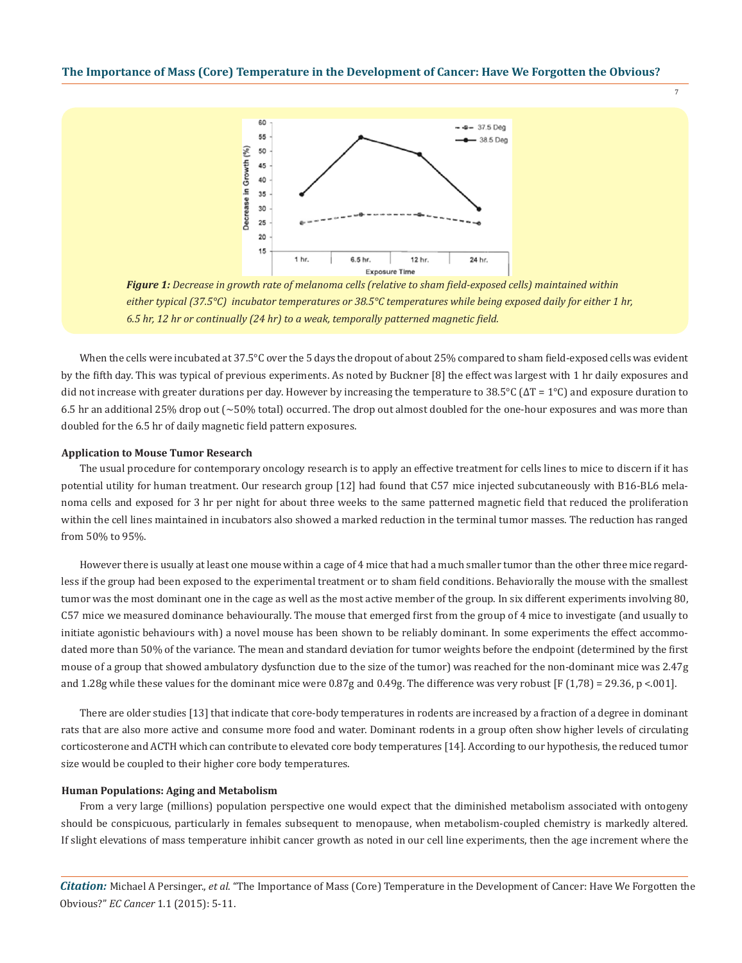7



*Figure 1: Decrease in growth rate of melanoma cells (relative to sham field-exposed cells) maintained within either typical (37.5°C) incubator temperatures or 38.5°C temperatures while being exposed daily for either 1 hr, 6.5 hr, 12 hr or continually (24 hr) to a weak, temporally patterned magnetic field.*

When the cells were incubated at 37.5°C over the 5 days the dropout of about 25% compared to sham field-exposed cells was evident by the fifth day. This was typical of previous experiments. As noted by Buckner [8] the effect was largest with 1 hr daily exposures and did not increase with greater durations per day. However by increasing the temperature to 38.5°C (ΔT = 1°C) and exposure duration to 6.5 hr an additional 25% drop out (~50% total) occurred. The drop out almost doubled for the one-hour exposures and was more than doubled for the 6.5 hr of daily magnetic field pattern exposures.

#### **Application to Mouse Tumor Research**

The usual procedure for contemporary oncology research is to apply an effective treatment for cells lines to mice to discern if it has potential utility for human treatment. Our research group [12] had found that C57 mice injected subcutaneously with B16-BL6 melanoma cells and exposed for 3 hr per night for about three weeks to the same patterned magnetic field that reduced the proliferation within the cell lines maintained in incubators also showed a marked reduction in the terminal tumor masses. The reduction has ranged from 50% to 95%.

However there is usually at least one mouse within a cage of 4 mice that had a much smaller tumor than the other three mice regardless if the group had been exposed to the experimental treatment or to sham field conditions. Behaviorally the mouse with the smallest tumor was the most dominant one in the cage as well as the most active member of the group. In six different experiments involving 80, C57 mice we measured dominance behaviourally. The mouse that emerged first from the group of 4 mice to investigate (and usually to initiate agonistic behaviours with) a novel mouse has been shown to be reliably dominant. In some experiments the effect accommodated more than 50% of the variance. The mean and standard deviation for tumor weights before the endpoint (determined by the first mouse of a group that showed ambulatory dysfunction due to the size of the tumor) was reached for the non-dominant mice was 2.47g and 1.28g while these values for the dominant mice were  $0.87g$  and  $0.49g$ . The difference was very robust [F (1,78) = 29.36, p < 001].

There are older studies [13] that indicate that core-body temperatures in rodents are increased by a fraction of a degree in dominant rats that are also more active and consume more food and water. Dominant rodents in a group often show higher levels of circulating corticosterone and ACTH which can contribute to elevated core body temperatures [14]. According to our hypothesis, the reduced tumor size would be coupled to their higher core body temperatures.

#### **Human Populations: Aging and Metabolism**

From a very large (millions) population perspective one would expect that the diminished metabolism associated with ontogeny should be conspicuous, particularly in females subsequent to menopause, when metabolism-coupled chemistry is markedly altered. If slight elevations of mass temperature inhibit cancer growth as noted in our cell line experiments, then the age increment where the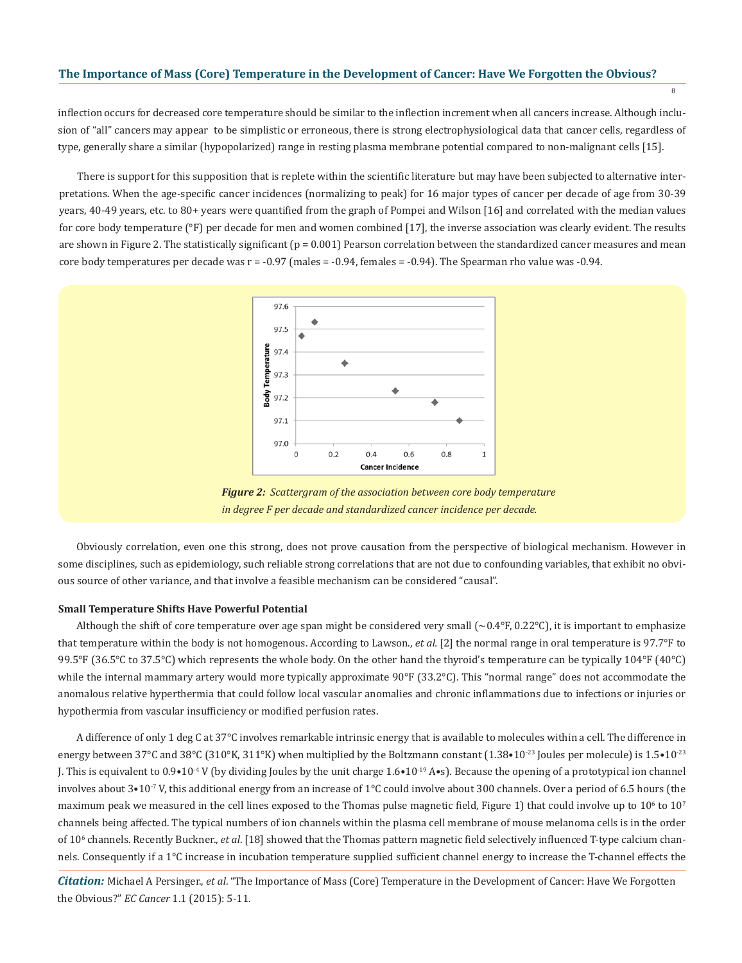inflection occurs for decreased core temperature should be similar to the inflection increment when all cancers increase. Although inclusion of "all" cancers may appear to be simplistic or erroneous, there is strong electrophysiological data that cancer cells, regardless of type, generally share a similar (hypopolarized) range in resting plasma membrane potential compared to non-malignant cells [15].

8

There is support for this supposition that is replete within the scientific literature but may have been subjected to alternative interpretations. When the age-specific cancer incidences (normalizing to peak) for 16 major types of cancer per decade of age from 30-39 years, 40-49 years, etc. to 80+ years were quantified from the graph of Pompei and Wilson [16] and correlated with the median values for core body temperature (°F) per decade for men and women combined [17], the inverse association was clearly evident. The results are shown in Figure 2. The statistically significant  $(p = 0.001)$  Pearson correlation between the standardized cancer measures and mean core body temperatures per decade was  $r = -0.97$  (males  $= -0.94$ , females  $= -0.94$ ). The Spearman rho value was  $-0.94$ .



*Figure 2: Scattergram of the association between core body temperature in degree F per decade and standardized cancer incidence per decade.*

Obviously correlation, even one this strong, does not prove causation from the perspective of biological mechanism. However in some disciplines, such as epidemiology, such reliable strong correlations that are not due to confounding variables, that exhibit no obvious source of other variance, and that involve a feasible mechanism can be considered "causal".

#### **Small Temperature Shifts Have Powerful Potential**

Although the shift of core temperature over age span might be considered very small  $({\sim}0.4^{\circ}F, 0.22^{\circ}C)$ , it is important to emphasize that temperature within the body is not homogenous. According to Lawson., *et al.* [2] the normal range in oral temperature is 97.7°F to 99.5°F (36.5°C to 37.5°C) which represents the whole body. On the other hand the thyroid's temperature can be typically 104°F (40°C) while the internal mammary artery would more typically approximate 90°F (33.2°C). This "normal range" does not accommodate the anomalous relative hyperthermia that could follow local vascular anomalies and chronic inflammations due to infections or injuries or hypothermia from vascular insufficiency or modified perfusion rates.

A difference of only 1 deg C at 37°C involves remarkable intrinsic energy that is available to molecules within a cell. The difference in energy between 37°C and 38°C (310°K, 311°K) when multiplied by the Boltzmann constant (1.38•10<sup>-23</sup> Joules per molecule) is 1.5•10<sup>-23</sup> J. This is equivalent to  $0.9 \cdot 10^{-4}$  V (by dividing Joules by the unit charge  $1.6 \cdot 10^{-19}$  A $\cdot$ s). Because the opening of a prototypical ion channel involves about  $3*10<sup>-7</sup>$  V, this additional energy from an increase of 1°C could involve about 300 channels. Over a period of 6.5 hours (the maximum peak we measured in the cell lines exposed to the Thomas pulse magnetic field, Figure 1) that could involve up to  $10^{\circ}$  to  $10^7$ channels being affected. The typical numbers of ion channels within the plasma cell membrane of mouse melanoma cells is in the order of 10<sup>6</sup> channels. Recently Buckner., *et al*. [18] showed that the Thomas pattern magnetic field selectively influenced T-type calcium channels. Consequently if a 1°C increase in incubation temperature supplied sufficient channel energy to increase the T-channel effects the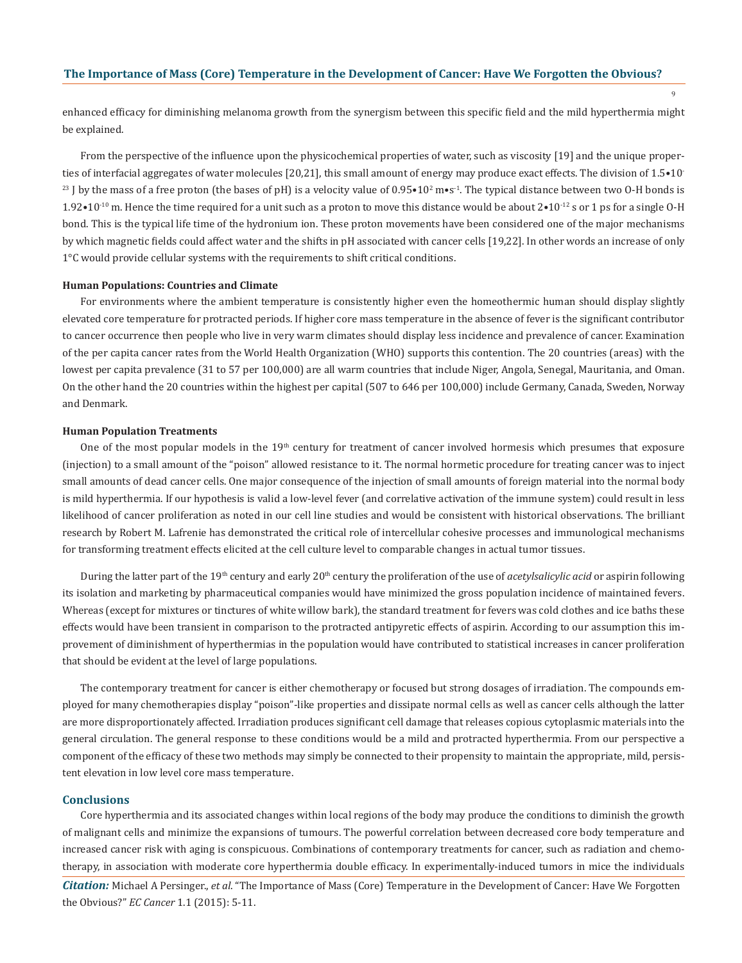$\overline{9}$ 

enhanced efficacy for diminishing melanoma growth from the synergism between this specific field and the mild hyperthermia might be explained.

From the perspective of the influence upon the physicochemical properties of water, such as viscosity [19] and the unique properties of interfacial aggregates of water molecules [20,21], this small amount of energy may produce exact effects. The division of 1.5•10- <sup>23</sup> J by the mass of a free proton (the bases of pH) is a velocity value of  $0.95 \cdot 10^2$  m $\cdot$ s<sup>-1</sup>. The typical distance between two 0-H bonds is 1.92•10<sup>-10</sup> m. Hence the time required for a unit such as a proton to move this distance would be about  $2 \cdot 10^{-12}$  s or 1 ps for a single O-H bond. This is the typical life time of the hydronium ion. These proton movements have been considered one of the major mechanisms by which magnetic fields could affect water and the shifts in pH associated with cancer cells [19,22]. In other words an increase of only 1°C would provide cellular systems with the requirements to shift critical conditions.

#### **Human Populations: Countries and Climate**

For environments where the ambient temperature is consistently higher even the homeothermic human should display slightly elevated core temperature for protracted periods. If higher core mass temperature in the absence of fever is the significant contributor to cancer occurrence then people who live in very warm climates should display less incidence and prevalence of cancer. Examination of the per capita cancer rates from the World Health Organization (WHO) supports this contention. The 20 countries (areas) with the lowest per capita prevalence (31 to 57 per 100,000) are all warm countries that include Niger, Angola, Senegal, Mauritania, and Oman. On the other hand the 20 countries within the highest per capital (507 to 646 per 100,000) include Germany, Canada, Sweden, Norway and Denmark.

#### **Human Population Treatments**

One of the most popular models in the 19<sup>th</sup> century for treatment of cancer involved hormesis which presumes that exposure (injection) to a small amount of the "poison" allowed resistance to it. The normal hormetic procedure for treating cancer was to inject small amounts of dead cancer cells. One major consequence of the injection of small amounts of foreign material into the normal body is mild hyperthermia. If our hypothesis is valid a low-level fever (and correlative activation of the immune system) could result in less likelihood of cancer proliferation as noted in our cell line studies and would be consistent with historical observations. The brilliant research by Robert M. Lafrenie has demonstrated the critical role of intercellular cohesive processes and immunological mechanisms for transforming treatment effects elicited at the cell culture level to comparable changes in actual tumor tissues.

During the latter part of the 19<sup>th</sup> century and early 20<sup>th</sup> century the proliferation of the use of *acetylsalicylic acid* or aspirin following its isolation and marketing by pharmaceutical companies would have minimized the gross population incidence of maintained fevers. Whereas (except for mixtures or tinctures of white willow bark), the standard treatment for fevers was cold clothes and ice baths these effects would have been transient in comparison to the protracted antipyretic effects of aspirin. According to our assumption this improvement of diminishment of hyperthermias in the population would have contributed to statistical increases in cancer proliferation that should be evident at the level of large populations.

The contemporary treatment for cancer is either chemotherapy or focused but strong dosages of irradiation. The compounds employed for many chemotherapies display "poison"-like properties and dissipate normal cells as well as cancer cells although the latter are more disproportionately affected. Irradiation produces significant cell damage that releases copious cytoplasmic materials into the general circulation. The general response to these conditions would be a mild and protracted hyperthermia. From our perspective a component of the efficacy of these two methods may simply be connected to their propensity to maintain the appropriate, mild, persistent elevation in low level core mass temperature.

## **Conclusions**

Core hyperthermia and its associated changes within local regions of the body may produce the conditions to diminish the growth of malignant cells and minimize the expansions of tumours. The powerful correlation between decreased core body temperature and increased cancer risk with aging is conspicuous. Combinations of contemporary treatments for cancer, such as radiation and chemotherapy, in association with moderate core hyperthermia double efficacy. In experimentally-induced tumors in mice the individuals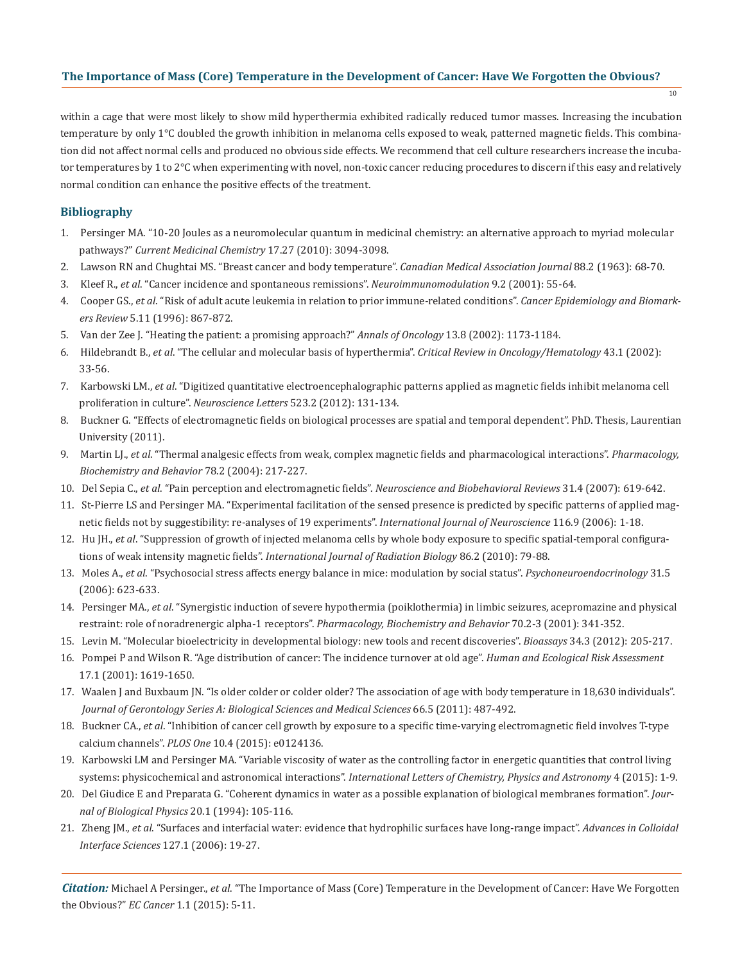within a cage that were most likely to show mild hyperthermia exhibited radically reduced tumor masses. Increasing the incubation temperature by only 1°C doubled the growth inhibition in melanoma cells exposed to weak, patterned magnetic fields. This combination did not affect normal cells and produced no obvious side effects. We recommend that cell culture researchers increase the incubator temperatures by 1 to 2°C when experimenting with novel, non-toxic cancer reducing procedures to discern if this easy and relatively normal condition can enhance the positive effects of the treatment.

10

# **Bibliography**

- 1. Persinger MA. "10-20 Joules as a neuromolecular quantum in medicinal chemistry: an alternative approach to myriad molecular pathways?" *Current Medicinal Chemistry* 17.27 (2010): 3094-3098.
- 2. Lawson RN and Chughtai MS. "Breast cancer and body temperature". *Canadian Medical Association Journal* 88.2 (1963): 68-70.
- 3. Kleef R., *et al*. "Cancer incidence and spontaneous remissions". *Neuroimmunomodulation* 9.2 (2001): 55-64.
- 4. Cooper GS., *et al*. "Risk of adult acute leukemia in relation to prior immune-related conditions". *Cancer Epidemiology and Biomark ers Review* 5.11 (1996): 867-872.
- 5. Van der Zee J. "Heating the patient: a promising approach?" *Annals of Oncology* 13.8 (2002): 1173-1184.
- 6. Hildebrandt B., *et al*. "The cellular and molecular basis of hyperthermia". *Critical Review in Oncology/Hematology* 43.1 (2002): 33-56.
- 7. Karbowski LM., *et al*. "Digitized quantitative electroencephalographic patterns applied as magnetic fields inhibit melanoma cell proliferation in culture". *Neuroscience Letters* 523.2 (2012): 131-134.
- 8. Buckner G. "Effects of electromagnetic fields on biological processes are spatial and temporal dependent". PhD. Thesis, Laurentian University (2011).
- 9. Martin LJ., *et al*. "Thermal analgesic effects from weak, complex magnetic fields and pharmacological interactions". *Pharmacology, Biochemistry and Behavior* 78.2 (2004): 217-227.
- 10. Del Sepia C., *et al*. "Pain perception and electromagnetic fields". *Neuroscience and Biobehavioral Reviews* 31.4 (2007): 619-642.
- 11. St-Pierre LS and Persinger MA. "Experimental facilitation of the sensed presence is predicted by specific patterns of applied mag netic fields not by suggestibility: re-analyses of 19 experiments". *International Journal of Neuroscience* 116.9 (2006): 1-18.
- 12. Hu JH., *et al*. "Suppression of growth of injected melanoma cells by whole body exposure to specific spatial-temporal configura tions of weak intensity magnetic fields". *International Journal of Radiation Biology* 86.2 (2010): 79-88.
- 13. Moles A., *et al*. "Psychosocial stress affects energy balance in mice: modulation by social status". *Psychoneuroendocrinology* 31.5 (2006): 623-633.
- 14. Persinger MA., *et al*. "Synergistic induction of severe hypothermia (poiklothermia) in limbic seizures, acepromazine and physical restraint: role of noradrenergic alpha-1 receptors". *Pharmacology, Biochemistry and Behavior* 70.2-3 (2001): 341-352.
- 15. Levin M. "Molecular bioelectricity in developmental biology: new tools and recent discoveries". *Bioassays* 34.3 (2012): 205-217.
- 16. Pompei P and Wilson R. "Age distribution of cancer: The incidence turnover at old age". *Human and Ecological Risk Assessment*  17.1 (2001): 1619-1650.
- 17. Waalen J and Buxbaum JN. "Is older colder or colder older? The association of age with body temperature in 18,630 individuals". *Journal of Gerontology Series A: Biological Sciences and Medical Sciences* 66.5 (2011): 487-492.
- 18. Buckner CA., *et al*. "Inhibition of cancer cell growth by exposure to a specific time-varying electromagnetic field involves T-type calcium channels". *PLOS One* 10.4 (2015): e0124136.
- 19. Karbowski LM and Persinger MA. "Variable viscosity of water as the controlling factor in energetic quantities that control living systems: physicochemical and astronomical interactions". *International Letters of Chemistry, Physics and Astronomy* 4 (2015): 1-9.
- 20. Del Giudice E and Preparata G. "Coherent dynamics in water as a possible explanation of biological membranes formation". *Jour nal of Biological Physics* 20.1 (1994): 105-116.
- 21. Zheng JM., *et al*. "Surfaces and interfacial water: evidence that hydrophilic surfaces have long-range impact". *Advances in Colloidal Interface Sciences* 127.1 (2006): 19-27.